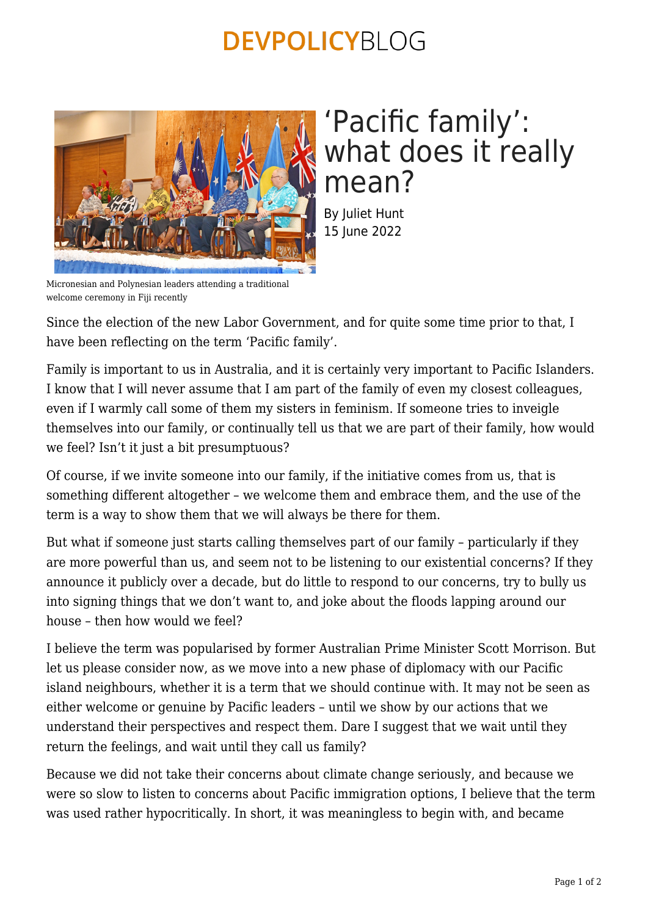### **DEVPOLICYBLOG**



# 'Pacific family': what does it really mean?

By Juliet Hunt 15 June 2022

Micronesian and Polynesian leaders attending a traditional welcome ceremony in Fiji recently

Since the election of the new Labor Government, and for quite some time prior to that, I have been reflecting on the term 'Pacific family'.

Family is important to us in Australia, and it is certainly very important to Pacific Islanders. I know that I will never assume that I am part of the family of even my closest colleagues, even if I warmly call some of them my sisters in feminism. If someone tries to inveigle themselves into our family, or continually tell us that we are part of their family, how would we feel? Isn't it just a bit presumptuous?

Of course, if we invite someone into our family, if the initiative comes from us, that is something different altogether – we welcome them and embrace them, and the use of the term is a way to show them that we will always be there for them.

But what if someone just starts calling themselves part of our family – particularly if they are more powerful than us, and seem not to be listening to our existential concerns? If they announce it publicly over a decade, but do little to respond to our concerns, try to bully us into signing things that we don't want to, and joke about the floods lapping around our house – then how would we feel?

I believe the term was popularised by former Australian Prime Minister Scott Morrison. But let us please consider now, as we move into a new phase of diplomacy with our Pacific island neighbours, whether it is a term that we should continue with. It may not be seen as either welcome or genuine by Pacific leaders – until we show by our actions that we understand their perspectives and respect them. Dare I suggest that we wait until they return the feelings, and wait until they call us family?

Because we did not take their concerns about climate change seriously, and because we were so slow to listen to concerns about Pacific immigration options, I believe that the term was used rather hypocritically. In short, it was meaningless to begin with, and became